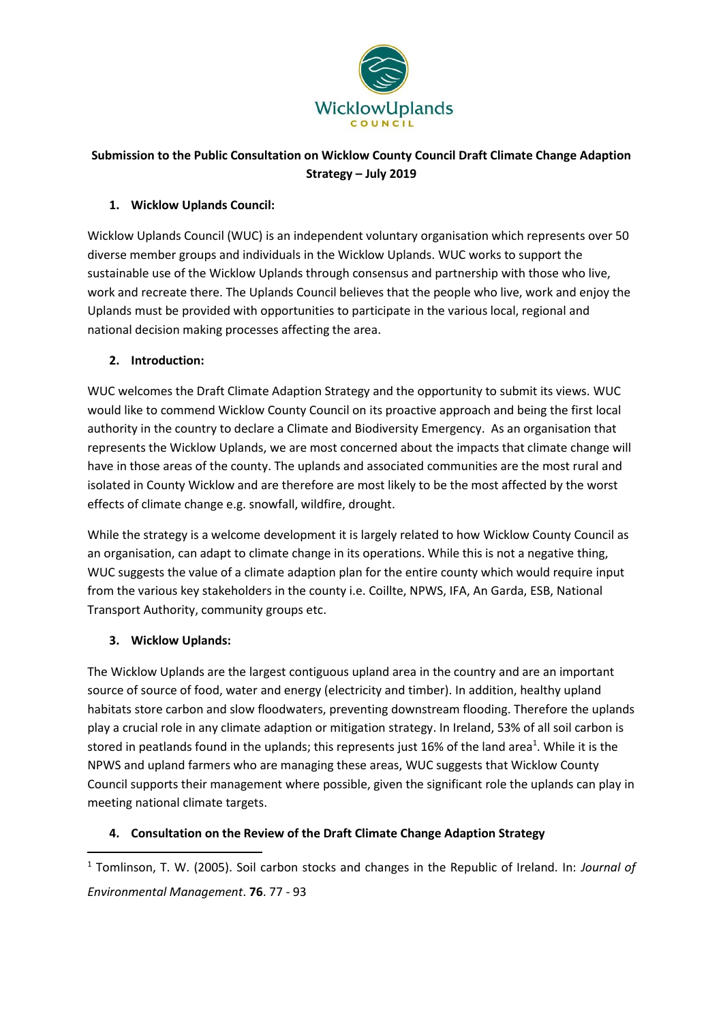

# **Submission to the Public Consultation on Wicklow County Council Draft Climate Change Adaption Strategy – July 2019**

### **1. Wicklow Uplands Council:**

Wicklow Uplands Council (WUC) is an independent voluntary organisation which represents over 50 diverse member groups and individuals in the Wicklow Uplands. WUC works to support the sustainable use of the Wicklow Uplands through consensus and partnership with those who live, work and recreate there. The Uplands Council believes that the people who live, work and enjoy the Uplands must be provided with opportunities to participate in the various local, regional and national decision making processes affecting the area.

### **2. Introduction:**

WUC welcomes the Draft Climate Adaption Strategy and the opportunity to submit its views. WUC would like to commend Wicklow County Council on its proactive approach and being the first local authority in the country to declare a Climate and Biodiversity Emergency. As an organisation that represents the Wicklow Uplands, we are most concerned about the impacts that climate change will have in those areas of the county. The uplands and associated communities are the most rural and isolated in County Wicklow and are therefore are most likely to be the most affected by the worst effects of climate change e.g. snowfall, wildfire, drought.

While the strategy is a welcome development it is largely related to how Wicklow County Council as an organisation, can adapt to climate change in its operations. While this is not a negative thing, WUC suggests the value of a climate adaption plan for the entire county which would require input from the various key stakeholders in the county i.e. Coillte, NPWS, IFA, An Garda, ESB, National Transport Authority, community groups etc.

# **3. Wicklow Uplands:**

**.** 

The Wicklow Uplands are the largest contiguous upland area in the country and are an important source of source of food, water and energy (electricity and timber). In addition, healthy upland habitats store carbon and slow floodwaters, preventing downstream flooding. Therefore the uplands play a crucial role in any climate adaption or mitigation strategy. In Ireland, 53% of all soil carbon is stored in peatlands found in the uplands; this represents just 16% of the land area<sup>1</sup>. While it is the NPWS and upland farmers who are managing these areas, WUC suggests that Wicklow County Council supports their management where possible, given the significant role the uplands can play in meeting national climate targets.

#### **4. Consultation on the Review of the Draft Climate Change Adaption Strategy**

<sup>1</sup> Tomlinson, T. W. (2005). Soil carbon stocks and changes in the Republic of Ireland. In: *Journal of Environmental Management*. **76**. 77 - 93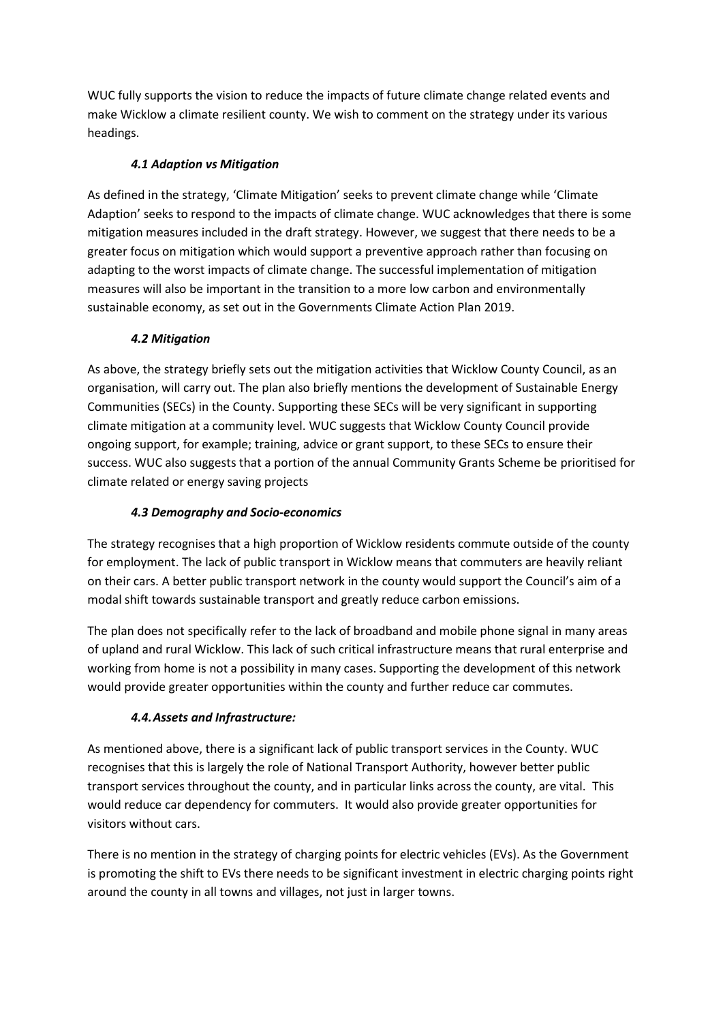WUC fully supports the vision to reduce the impacts of future climate change related events and make Wicklow a climate resilient county. We wish to comment on the strategy under its various headings.

# *4.1 Adaption vs Mitigation*

As defined in the strategy, 'Climate Mitigation' seeks to prevent climate change while 'Climate Adaption' seeks to respond to the impacts of climate change. WUC acknowledges that there is some mitigation measures included in the draft strategy. However, we suggest that there needs to be a greater focus on mitigation which would support a preventive approach rather than focusing on adapting to the worst impacts of climate change. The successful implementation of mitigation measures will also be important in the transition to a more low carbon and environmentally sustainable economy, as set out in the Governments Climate Action Plan 2019.

### *4.2 Mitigation*

As above, the strategy briefly sets out the mitigation activities that Wicklow County Council, as an organisation, will carry out. The plan also briefly mentions the development of Sustainable Energy Communities (SECs) in the County. Supporting these SECs will be very significant in supporting climate mitigation at a community level. WUC suggests that Wicklow County Council provide ongoing support, for example; training, advice or grant support, to these SECs to ensure their success. WUC also suggests that a portion of the annual Community Grants Scheme be prioritised for climate related or energy saving projects

# *4.3 Demography and Socio-economics*

The strategy recognises that a high proportion of Wicklow residents commute outside of the county for employment. The lack of public transport in Wicklow means that commuters are heavily reliant on their cars. A better public transport network in the county would support the Council's aim of a modal shift towards sustainable transport and greatly reduce carbon emissions.

The plan does not specifically refer to the lack of broadband and mobile phone signal in many areas of upland and rural Wicklow. This lack of such critical infrastructure means that rural enterprise and working from home is not a possibility in many cases. Supporting the development of this network would provide greater opportunities within the county and further reduce car commutes.

# *4.4.Assets and Infrastructure:*

As mentioned above, there is a significant lack of public transport services in the County. WUC recognises that this is largely the role of National Transport Authority, however better public transport services throughout the county, and in particular links across the county, are vital. This would reduce car dependency for commuters. It would also provide greater opportunities for visitors without cars.

There is no mention in the strategy of charging points for electric vehicles (EVs). As the Government is promoting the shift to EVs there needs to be significant investment in electric charging points right around the county in all towns and villages, not just in larger towns.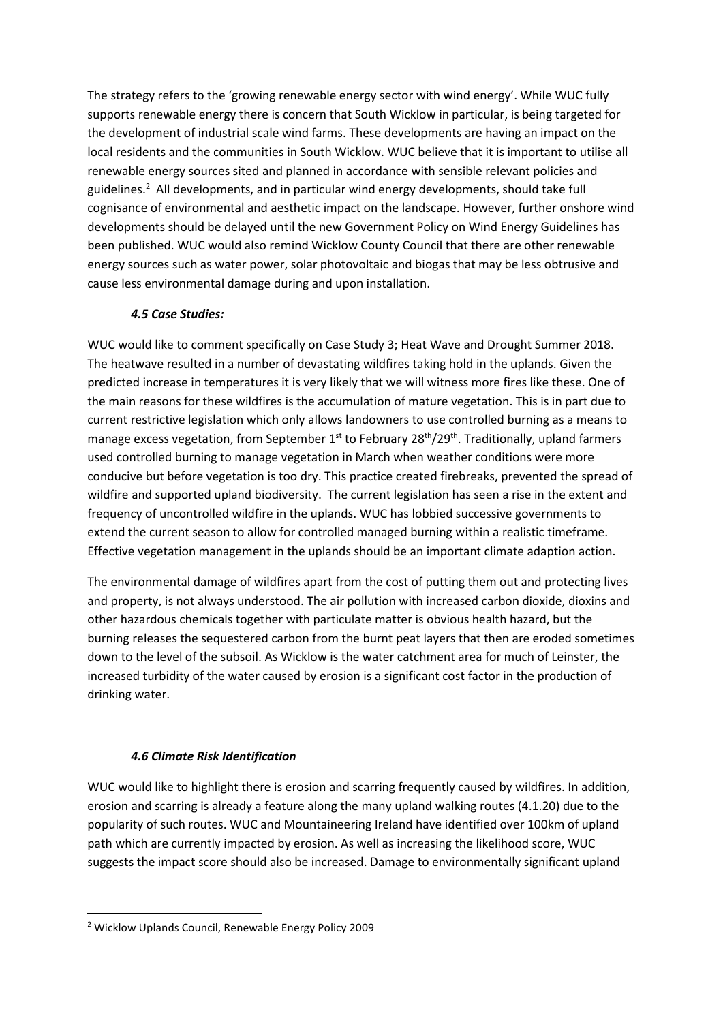The strategy refers to the 'growing renewable energy sector with wind energy'. While WUC fully supports renewable energy there is concern that South Wicklow in particular, is being targeted for the development of industrial scale wind farms. These developments are having an impact on the local residents and the communities in South Wicklow. WUC believe that it is important to utilise all renewable energy sources sited and planned in accordance with sensible relevant policies and guidelines.<sup>2</sup> All developments, and in particular wind energy developments, should take full cognisance of environmental and aesthetic impact on the landscape. However, further onshore wind developments should be delayed until the new Government Policy on Wind Energy Guidelines has been published. WUC would also remind Wicklow County Council that there are other renewable energy sources such as water power, solar photovoltaic and biogas that may be less obtrusive and cause less environmental damage during and upon installation.

#### *4.5 Case Studies:*

WUC would like to comment specifically on Case Study 3; Heat Wave and Drought Summer 2018. The heatwave resulted in a number of devastating wildfires taking hold in the uplands. Given the predicted increase in temperatures it is very likely that we will witness more fires like these. One of the main reasons for these wildfires is the accumulation of mature vegetation. This is in part due to current restrictive legislation which only allows landowners to use controlled burning as a means to manage excess vegetation, from September 1<sup>st</sup> to February 28<sup>th</sup>/29<sup>th</sup>. Traditionally, upland farmers used controlled burning to manage vegetation in March when weather conditions were more conducive but before vegetation is too dry. This practice created firebreaks, prevented the spread of wildfire and supported upland biodiversity. The current legislation has seen a rise in the extent and frequency of uncontrolled wildfire in the uplands. WUC has lobbied successive governments to extend the current season to allow for controlled managed burning within a realistic timeframe. Effective vegetation management in the uplands should be an important climate adaption action.

The environmental damage of wildfires apart from the cost of putting them out and protecting lives and property, is not always understood. The air pollution with increased carbon dioxide, dioxins and other hazardous chemicals together with particulate matter is obvious health hazard, but the burning releases the sequestered carbon from the burnt peat layers that then are eroded sometimes down to the level of the subsoil. As Wicklow is the water catchment area for much of Leinster, the increased turbidity of the water caused by erosion is a significant cost factor in the production of drinking water.

# *4.6 Climate Risk Identification*

WUC would like to highlight there is erosion and scarring frequently caused by wildfires. In addition, erosion and scarring is already a feature along the many upland walking routes (4.1.20) due to the popularity of such routes. WUC and Mountaineering Ireland have identified over 100km of upland path which are currently impacted by erosion. As well as increasing the likelihood score, WUC suggests the impact score should also be increased. Damage to environmentally significant upland

**.** 

<sup>2</sup> Wicklow Uplands Council, Renewable Energy Policy 2009